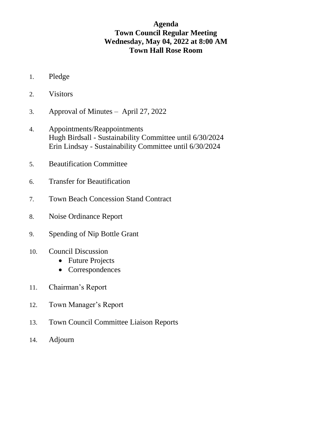# **Agenda Town Council Regular Meeting Wednesday, May 04, 2022 at 8:00 AM Town Hall Rose Room**

- 1. Pledge
- 2. Visitors
- 3. Approval of Minutes April 27, 2022
- 4. Appointments/Reappointments Hugh Birdsall - Sustainability Committee until 6/30/2024 Erin Lindsay - Sustainability Committee until 6/30/2024
- 5. Beautification Committee
- 6. Transfer for Beautification
- 7. Town Beach Concession Stand Contract
- 8. Noise Ordinance Report
- 9. Spending of Nip Bottle Grant
- 10. Council Discussion
	- Future Projects
	- Correspondences
- 11. Chairman's Report
- 12. Town Manager's Report
- 13. Town Council Committee Liaison Reports
- 14. Adjourn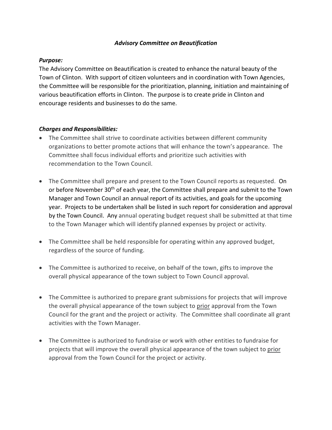#### *Advisory Committee on Beautification*

### *Purpose:*

The Advisory Committee on Beautification is created to enhance the natural beauty of the Town of Clinton. With support of citizen volunteers and in coordination with Town Agencies, the Committee will be responsible for the prioritization, planning, initiation and maintaining of various beautification efforts in Clinton. The purpose is to create pride in Clinton and encourage residents and businesses to do the same.

### *Charges and Responsibilities:*

- The Committee shall strive to coordinate activities between different community organizations to better promote actions that will enhance the town's appearance. The Committee shall focus individual efforts and prioritize such activities with recommendation to the Town Council.
- The Committee shall prepare and present to the Town Council reports as requested. On or before November 30<sup>th</sup> of each year, the Committee shall prepare and submit to the Town Manager and Town Council an annual report of its activities, and goals for the upcoming year. Projects to be undertaken shall be listed in such report for consideration and approval by the Town Council. Any annual operating budget request shall be submitted at that time to the Town Manager which will identify planned expenses by project or activity.
- The Committee shall be held responsible for operating within any approved budget, regardless of the source of funding.
- The Committee is authorized to receive, on behalf of the town, gifts to improve the overall physical appearance of the town subject to Town Council approval.
- The Committee is authorized to prepare grant submissions for projects that will improve the overall physical appearance of the town subject to prior approval from the Town Council for the grant and the project or activity. The Committee shall coordinate all grant activities with the Town Manager.
- The Committee is authorized to fundraise or work with other entities to fundraise for projects that will improve the overall physical appearance of the town subject to prior approval from the Town Council for the project or activity.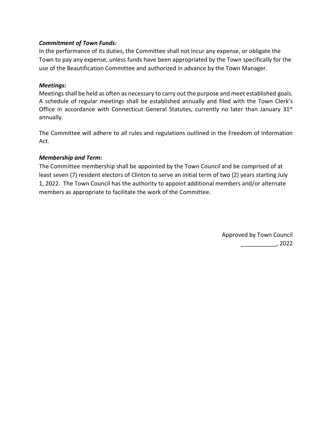### *Commitment of Town Funds:*

In the performance of its duties, the Committee shall not incur any expense, or obligate the Town to pay any expense, unless funds have been appropriated by the Town specifically for the use of the Beautification Committee and authorized in advance by the Town Manager.

#### *Meetings:*

Meetings shall be held as often as necessary to carry out the purpose and meet established goals. A schedule of regular meetings shall be established annually and filed with the Town Clerk's Office in accordance with Connecticut General Statutes, currently no later than January 31st annually.

The Committee will adhere to all rules and regulations outlined in the Freedom of Information Act.

### *Membership and Term:*

The Committee membership shall be appointed by the Town Council and be comprised of at least seven (7) resident electors of Clinton to serve an initial term of two (2) years starting July 1, 2022. The Town Council has the authority to appoint additional members and/or alternate members as appropriate to facilitate the work of the Committee.

> Approved by Town Council \_\_\_\_\_\_\_\_\_\_\_, 2022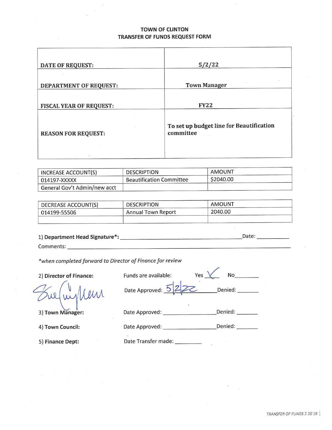#### **TOWN OF CLINTON** TRANSFER OF FUNDS REQUEST FORM

| <b>DATE OF REQUEST:</b>        | 5/2/22                                                |
|--------------------------------|-------------------------------------------------------|
| <b>DEPARTMENT OF REQUEST:</b>  | <b>Town Manager</b>                                   |
| <b>FISCAL YEAR OF REQUEST:</b> | <b>FY22</b>                                           |
| <b>REASON FOR REQUEST:</b>     | To set up budget line for Beautification<br>committee |
|                                |                                                       |

| INCREASE ACCOUNT(S)          | <b>DESCRIPTION</b>              | AMOUNT    |
|------------------------------|---------------------------------|-----------|
| 014197-XXXXX                 | <b>Beautification Committee</b> | \$2040.00 |
| General Gov't Admin/new acct |                                 |           |

| DECREASE ACCOUNT(S) | <b>DESCRIPTION</b> | AMOUNT  |  |
|---------------------|--------------------|---------|--|
| 014199-55506        | Annual Town Report | 2040.00 |  |
|                     |                    |         |  |

| 1) Department Head Signature*: | Date <sup>-</sup> |  |
|--------------------------------|-------------------|--|
|                                |                   |  |

\*when completed forward to Director of Finance for review

2) Director of Finance:

Leur

Yes $\sqrt{\ }$  $No$ Funds are available: Date Approved: 5 Denied: 

3) Town Manager:

4) Town Council:

5) Finance Dept:

Date Approved: \_\_\_\_\_\_\_\_\_\_\_\_\_\_\_\_\_\_\_\_\_\_\_\_\_\_\_Denied: \_\_\_\_\_\_\_\_\_

Date Approved: \_\_\_\_\_\_\_\_\_\_\_\_\_\_\_\_\_\_\_\_\_Denied: \_\_\_\_\_\_\_

Date Transfer made: \_\_\_\_\_\_\_\_\_\_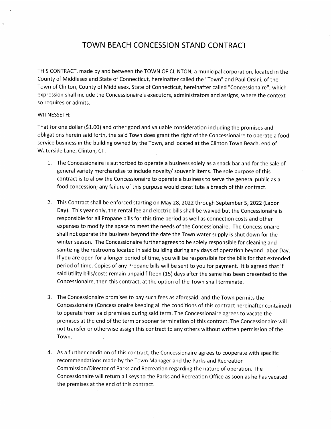## **TOWN BEACH CONCESSION STAND CONTRACT**

THIS CONTRACT, made by and between the TOWN OF CLINTON, a municipal corporation, located in the County of Middlesex and State of Connecticut, hereinafter called the "Town" and Paul Orsini, of the Town of Clinton, County of Middlesex, State of Connecticut, hereinafter called "Concessionaire", which expression shall include the Concessionaire's executors, administrators and assigns, where the context so requires or admits.

#### WITNESSETH:

 $\overline{\overline{\overline{2}}}$ 

That for one dollar (\$1.00) and other good and valuable consideration including the promises and obligations herein said forth, the said Town does grant the right of the Concessionaire to operate a food service business in the building owned by the Town, and located at the Clinton Town Beach, end of Waterside Lane, Clinton, CT.

- 1. The Concessionaire is authorized to operate a business solely as a snack bar and for the sale of general variety merchandise to include novelty/ souvenir items. The sole purpose of this contract is to allow the Concessionaire to operate a business to serve the general public as a food concession; any failure of this purpose would constitute a breach of this contract.
- 2. This Contract shall be enforced starting on May 28, 2022 through September 5, 2022 (Labor Day). This year only, the rental fee and electric bills shall be waived but the Concessionaire is responsible for all Propane bills for this time period as well as connection costs and other expenses to modify the space to meet the needs of the Concessionaire. The Concessionaire shall not operate the business beyond the date the Town water supply is shut down for the winter season. The Concessionaire further agrees to be solely responsible for cleaning and sanitizing the restrooms located in said building during any days of operation beyond Labor Day. If you are open for a longer period of time, you will be responsible for the bills for that extended period of time. Copies of any Propane bills will be sent to you for payment. It is agreed that if said utility bills/costs remain unpaid fifteen (15) days after the same has been presented to the Concessionaire, then this contract, at the option of the Town shall terminate.
- 3. The Concessionaire promises to pay such fees as aforesaid, and the Town permits the Concessionaire (Concessionaire keeping all the conditions of this contract hereinafter contained) to operate from said premises during said term. The Concessionaire agrees to vacate the premises at the end of the term or sooner termination of this contract. The Concessionaire will not transfer or otherwise assign this contract to any others without written permission of the Town.
- 4. As a further condition of this contract, the Concessionaire agrees to cooperate with specific recommendations made by the Town Manager and the Parks and Recreation Commission/Director of Parks and Recreation regarding the nature of operation. The Concessionaire will return all keys to the Parks and Recreation Office as soon as he has vacated the premises at the end of this contract.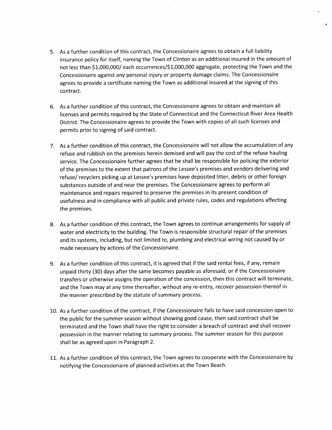- 5. As a further condition of this contract, the Concessionaire agrees to obtain a full liability insurance policy for itself, naming the Town of Clinton as an additional insured in the amount of not less than \$1,000,000/ each occurrences/\$1,000,000 aggregate, protecting the Town and the Concessionaire against any personal injury or property damage claims. The Concessionaire agrees to provide a certificate naming the Town as additional insured at the signing of this contract.
- 6. As a further condition of this contract, the Concessionaire agrees to obtain and maintain all licenses and permits required by the State of Connecticut and the Connecticut River Area Health District. The Concessionaire agrees to provide the Town with copies of all such licenses and permits prior to signing of said contract.
- 7. As a further condition of this contract, the Concessionaire will not allow the accumulation of any refuse and rubbish on the premises herein demised and will pay the cost of the refuse hauling service. The Concessionaire further agrees that he shall be responsible for policing the exterior of the premises to the extent that patrons of the Lessee's premises and vendors delivering and refuse/ recyclers picking up at Lessee's premises have deposited litter, debris or other foreign substances outside of and near the premises. The Concessionaire agrees to perform all maintenance and repairs required to preserve the premises in its present condition of usefulness and in compliance with all public and private rules, codes and regulations affecting the premises.
- 8. As a further condition of this contract, the Town agrees to continue arrangements for supply of water and electricity to the building. The Town is responsible structural repair of the premises and its systems, including, but not limited to, plumbing and electrical wiring not caused by or made necessary by actions of the Concessionaire.
- 9. As a further condition of this contract, it is agreed that if the said rental fees, if any, remain unpaid thirty (30) days after the same becomes payable as aforesaid, or if the Concessionaire transfers or otherwise assigns the operation of the concession, then this contract will terminate, and the Town may at any time thereafter, without any re-entry, recover possession thereof in the manner prescribed by the statute of summary process.
- 10. As a further condition of the contract, if the Concessionaire fails to have said concession open to the public for the summer season without showing good cause, then said contract shall be terminated and the Town shall have the right to consider a breach of contract and shall recover possession in the manner relating to summary process. The summer season for this purpose shall be as agreed upon in Paragraph 2.
- 11. As a further condition of this contract, the Town agrees to cooperate with the Concessionaire by notifying the Concessionaire of planned activities at the Town Beach.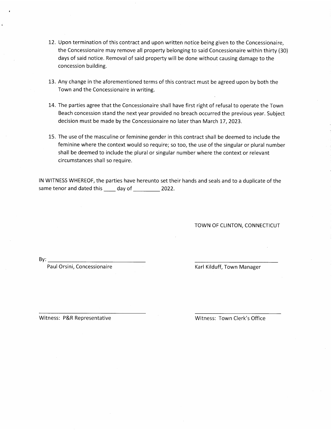- 12. Upon termination of this contract and upon written notice being given to the Concessionaire, the Concessionaire may remove all property belonging to said Concessionaire within thirty (30) days of said notice. Removal of said property will be done without causing damage to the concession building.
- 13. Any change in the aforementioned terms of this contract must be agreed upon by both the Town and the Concessionaire in writing.
- 14. The parties agree that the Concessionaire shall have first right of refusal to operate the Town Beach concession stand the next year provided no breach occurred the previous year. Subject decision must be made by the Concessionaire no later than March 17, 2023.
- 15. The use of the masculine or feminine gender in this contract shall be deemed to include the feminine where the context would so require; so too, the use of the singular or plural number shall be deemed to include the plural or singular number where the context or relevant circumstances shall so require.

IN WITNESS WHEREOF, the parties have hereunto set their hands and seals and to a duplicate of the same tenor and dated this \_\_\_\_\_ day of \_\_\_\_\_\_\_\_\_\_\_\_ 2022.

TOWN OF CLINTON, CONNECTICUT

 $By:$ 

Paul Orsini, Concessionaire

Karl Kilduff, Town Manager

Witness: P&R Representative

Witness: Town Clerk's Office